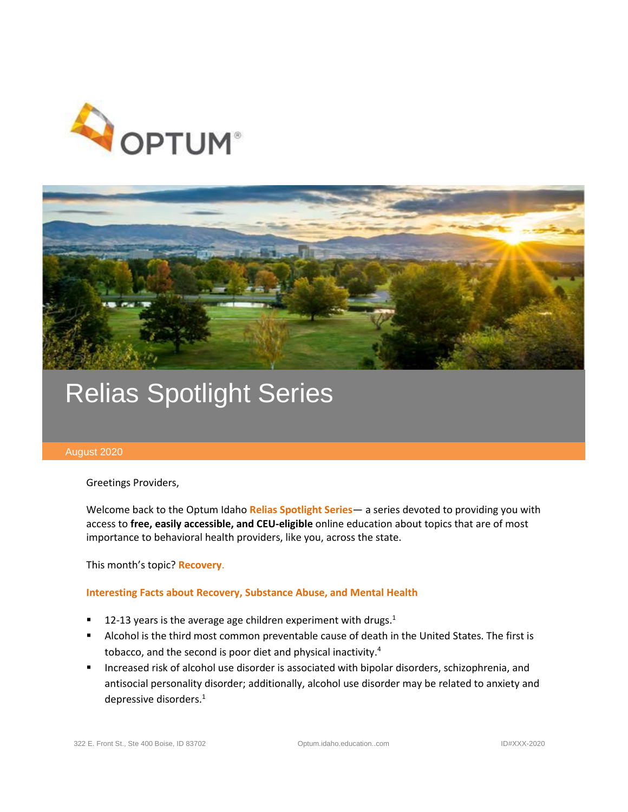



# Relias Spotlight Series

## August 2020

Greetings Providers,

Welcome back to the Optum Idaho **Relias Spotlight Series**— a series devoted to providing you with access to **free, easily accessible, and CEU-eligible** online education about topics that are of most importance to behavioral health providers, like you, across the state.

This month's topic? **Recovery**.

## **Interesting Facts about Recovery, Substance Abuse, and Mental Health**

- 12-13 years is the average age children experiment with drugs. $<sup>1</sup>$ </sup>
- Alcohol is the third most common preventable cause of death in the United States. The first is tobacco, and the second is poor diet and physical inactivity.<sup>4</sup>
- Increased risk of alcohol use disorder is associated with bipolar disorders, schizophrenia, and antisocial personality disorder; additionally, alcohol use disorder may be related to anxiety and depressive disorders. $1$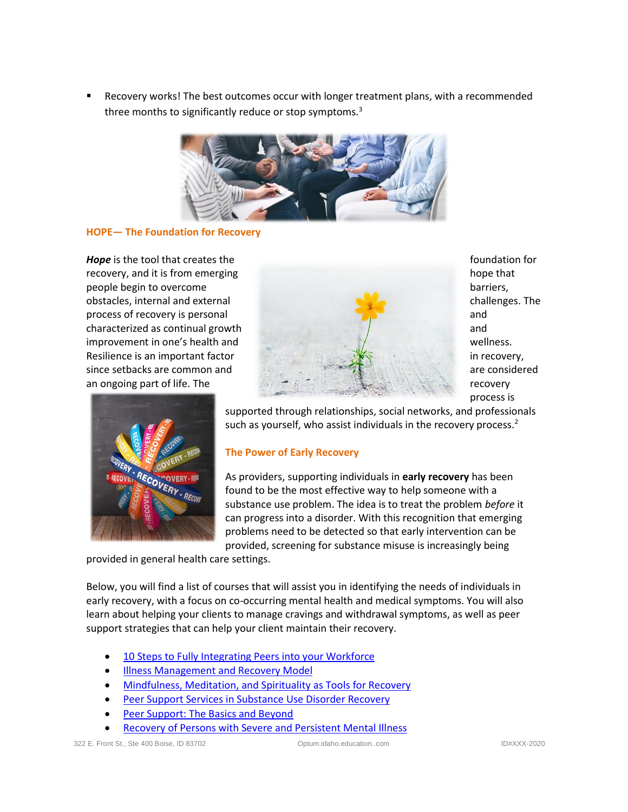Recovery works! The best outcomes occur with longer treatment plans, with a recommended three months to significantly reduce or stop symptoms.<sup>3</sup>



## **HOPE— The Foundation for Recovery**





process is

supported through relationships, social networks, and professionals such as yourself, who assist individuals in the recovery process.<sup>2</sup>

## **The Power of Early Recovery**

As providers, supporting individuals in **early recovery** has been found to be the most effective way to help someone with a substance use problem. The idea is to treat the problem *before* it can progress into a disorder. With this recognition that emerging problems need to be detected so that early intervention can be provided, screening for substance misuse is increasingly being

provided in general health care settings.

Below, you will find a list of courses that will assist you in identifying the needs of individuals in early recovery, with a focus on co-occurring mental health and medical symptoms. You will also learn about helping your clients to manage cravings and withdrawal symptoms, as well as peer support strategies that can help your client maintain their recovery.

- [10 Steps to Fully Integrating Peers into your Workforce](https://optumidaho.training.reliaslearning.com/Learning/Catalog.aspx?CourseCode=REL-HHS-0-NCV2)
- [Illness Management and Recovery Model](https://optumidaho.training.reliaslearning.com/Learning/Catalog.aspx?CourseCode=REL-HHS-0-IMREBP-V2)
- [Mindfulness, Meditation, and Spirituality as Tools for Recovery](https://optumidaho.training.reliaslearning.com/Learning/Catalog.aspx?CourseCode=REL-BH-0-ADD5)
- [Peer Support Services in Substance Use Disorder Recovery](https://optumidaho.training.reliaslearning.com/Learning/Catalog.aspx?CourseCode=REL-HHS-0-ADDICTION12)
- [Peer Support: The Basics and Beyond](https://optumidaho.training.reliaslearning.com/Learning/Catalog.aspx?CourseCode=REL-HHS-0-PSSAR)
- [Recovery of Persons with Severe and Persistent Mental Illness](https://optumidaho.training.reliaslearning.com/Learning/Catalog.aspx?CourseCode=REL-HHS-0-RPSPMI)